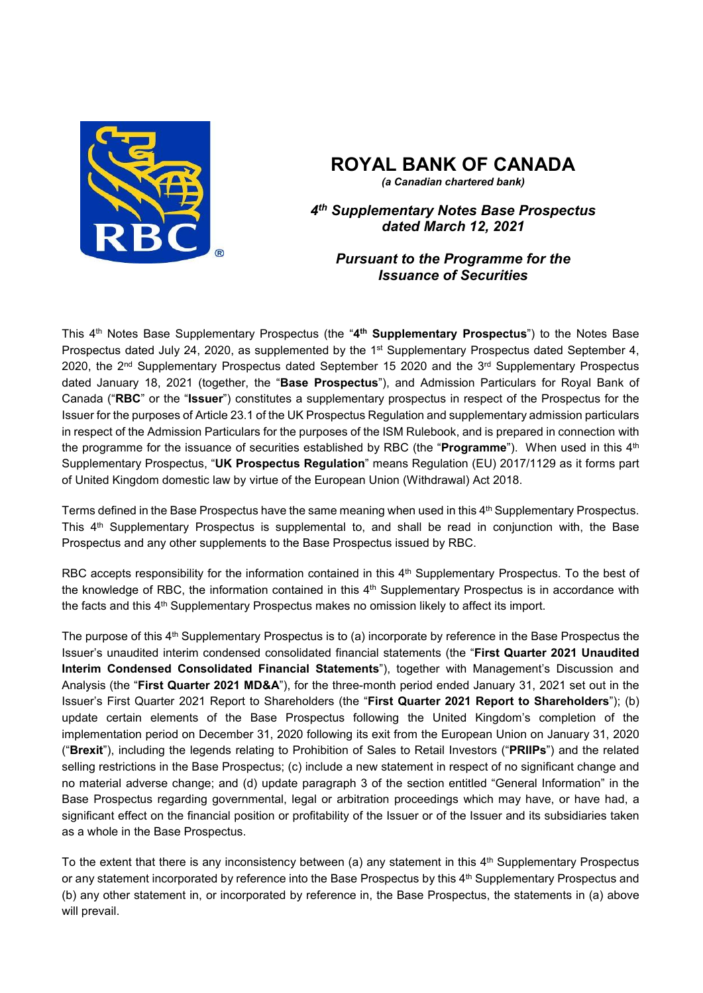

# **ROYAL BANK OF CANADA**

*(a Canadian chartered bank)*

*4 th Supplementary Notes Base Prospectus dated March 12, 2021*

# *Pursuant to the Programme for the Issuance of Securities*

This 4<sup>th</sup> Notes Base Supplementary Prospectus (the "4<sup>th</sup> Supplementary Prospectus") to the Notes Base Prospectus dated July 24, 2020, as supplemented by the 1<sup>st</sup> Supplementary Prospectus dated September 4, 2020, the 2<sup>nd</sup> Supplementary Prospectus dated September 15 2020 and the 3<sup>rd</sup> Supplementary Prospectus dated January 18, 2021 (together, the "**Base Prospectus**"), and Admission Particulars for Royal Bank of Canada ("**RBC**" or the "**Issuer**") constitutes a supplementary prospectus in respect of the Prospectus for the Issuer for the purposes of Article 23.1 of the UK Prospectus Regulation and supplementary admission particulars in respect of the Admission Particulars for the purposes of the ISM Rulebook, and is prepared in connection with the programme for the issuance of securities established by RBC (the "**Programme**"). When used in this 4<sup>th</sup> Supplementary Prospectus, "**UK Prospectus Regulation**" means Regulation (EU) 2017/1129 as it forms part of United Kingdom domestic law by virtue of the European Union (Withdrawal) Act 2018.

Terms defined in the Base Prospectus have the same meaning when used in this 4 th Supplementary Prospectus. This 4 th Supplementary Prospectus is supplemental to, and shall be read in conjunction with, the Base Prospectus and any other supplements to the Base Prospectus issued by RBC.

RBC accepts responsibility for the information contained in this 4<sup>th</sup> Supplementary Prospectus. To the best of the knowledge of RBC, the information contained in this 4<sup>th</sup> Supplementary Prospectus is in accordance with the facts and this 4<sup>th</sup> Supplementary Prospectus makes no omission likely to affect its import.

The purpose of this 4<sup>th</sup> Supplementary Prospectus is to (a) incorporate by reference in the Base Prospectus the Issuer's unaudited interim condensed consolidated financial statements (the "**First Quarter 2021 Unaudited Interim Condensed Consolidated Financial Statements**"), together with Management's Discussion and Analysis (the "**First Quarter 2021 MD&A**"), for the three-month period ended January 31, 2021 set out in the Issuer's First Quarter 2021 Report to Shareholders (the "**First Quarter 2021 Report to Shareholders**"); (b) update certain elements of the Base Prospectus following the United Kingdom's completion of the implementation period on December 31, 2020 following its exit from the European Union on January 31, 2020 ("**Brexit**"), including the legends relating to Prohibition of Sales to Retail Investors ("**PRIIPs**") and the related selling restrictions in the Base Prospectus; (c) include a new statement in respect of no significant change and no material adverse change; and (d) update paragraph 3 of the section entitled "General Information" in the Base Prospectus regarding governmental, legal or arbitration proceedings which may have, or have had, a significant effect on the financial position or profitability of the Issuer or of the Issuer and its subsidiaries taken as a whole in the Base Prospectus.

To the extent that there is any inconsistency between (a) any statement in this 4<sup>th</sup> Supplementary Prospectus or any statement incorporated by reference into the Base Prospectus by this 4<sup>th</sup> Supplementary Prospectus and (b) any other statement in, or incorporated by reference in, the Base Prospectus, the statements in (a) above will prevail.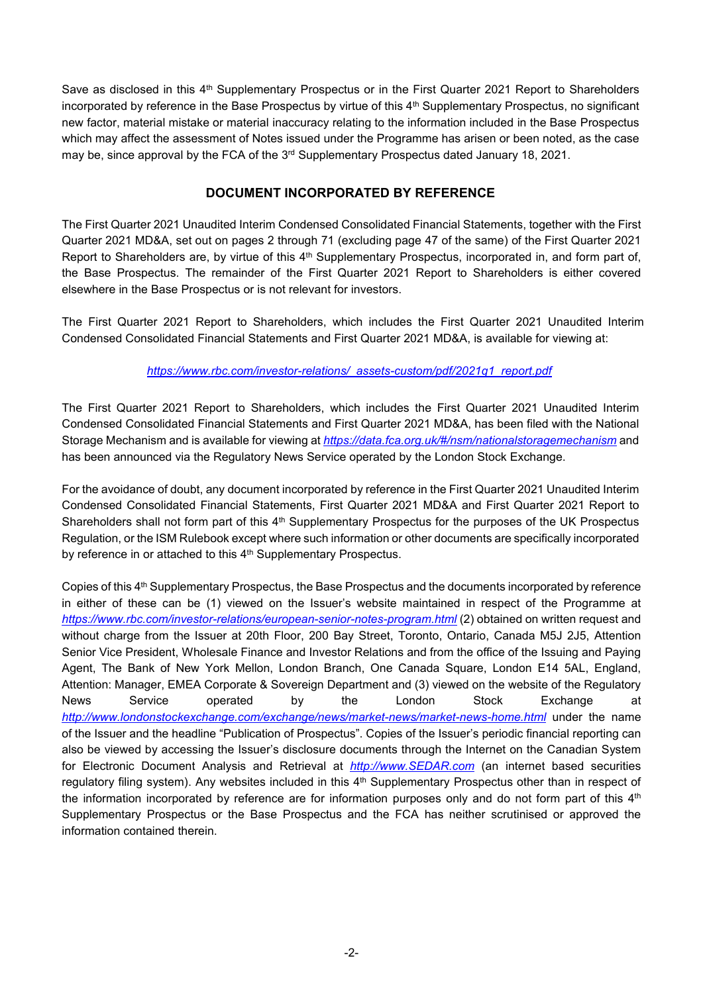Save as disclosed in this 4<sup>th</sup> Supplementary Prospectus or in the First Quarter 2021 Report to Shareholders incorporated by reference in the Base Prospectus by virtue of this 4 th Supplementary Prospectus, no significant new factor, material mistake or material inaccuracy relating to the information included in the Base Prospectus which may affect the assessment of Notes issued under the Programme has arisen or been noted, as the case may be, since approval by the FCA of the  $3<sup>rd</sup>$  Supplementary Prospectus dated January 18, 2021.

# **DOCUMENT INCORPORATED BY REFERENCE**

The First Quarter 2021 Unaudited Interim Condensed Consolidated Financial Statements, together with the First Quarter 2021 MD&A, set out on pages 2 through 71 (excluding page 47 of the same) of the First Quarter 2021 Report to Shareholders are, by virtue of this 4<sup>th</sup> Supplementary Prospectus, incorporated in, and form part of, the Base Prospectus. The remainder of the First Quarter 2021 Report to Shareholders is either covered elsewhere in the Base Prospectus or is not relevant for investors.

The First Quarter 2021 Report to Shareholders, which includes the First Quarter 2021 Unaudited Interim Condensed Consolidated Financial Statements and First Quarter 2021 MD&A, is available for viewing at:

#### *https://www.rbc.com/investor-relations/\_assets-custom/pdf/2021q1\_report.pdf*

The First Quarter 2021 Report to Shareholders, which includes the First Quarter 2021 Unaudited Interim Condensed Consolidated Financial Statements and First Quarter 2021 MD&A, has been filed with the National Storage Mechanism and is available for viewing at *https://data.fca.org.uk/#/nsm/nationalstoragemechanism* and has been announced via the Regulatory News Service operated by the London Stock Exchange.

For the avoidance of doubt, any document incorporated by reference in the First Quarter 2021 Unaudited Interim Condensed Consolidated Financial Statements, First Quarter 2021 MD&A and First Quarter 2021 Report to Shareholders shall not form part of this 4<sup>th</sup> Supplementary Prospectus for the purposes of the UK Prospectus Regulation, or the ISM Rulebook except where such information or other documents are specifically incorporated by reference in or attached to this 4<sup>th</sup> Supplementary Prospectus.

Copies of this 4<sup>th</sup> Supplementary Prospectus, the Base Prospectus and the documents incorporated by reference in either of these can be (1) viewed on the Issuer's website maintained in respect of the Programme at *https://www.rbc.com/investor-relations/european-senior-notes-program.html* (2) obtained on written request and without charge from the Issuer at 20th Floor, 200 Bay Street, Toronto, Ontario, Canada M5J 2J5, Attention Senior Vice President, Wholesale Finance and Investor Relations and from the office of the Issuing and Paying Agent, The Bank of New York Mellon, London Branch, One Canada Square, London E14 5AL, England, Attention: Manager, EMEA Corporate & Sovereign Department and (3) viewed on the website of the Regulatory News Service operated by the London Stock Exchange at *http://www.londonstockexchange.com/exchange/news/market-news/market-news-home.html* under the name of the Issuer and the headline "Publication of Prospectus". Copies of the Issuer's periodic financial reporting can also be viewed by accessing the Issuer's disclosure documents through the Internet on the Canadian System for Electronic Document Analysis and Retrieval at *http://www.SEDAR.com* (an internet based securities regulatory filing system). Any websites included in this 4<sup>th</sup> Supplementary Prospectus other than in respect of the information incorporated by reference are for information purposes only and do not form part of this  $4^{\text{th}}$ Supplementary Prospectus or the Base Prospectus and the FCA has neither scrutinised or approved the information contained therein.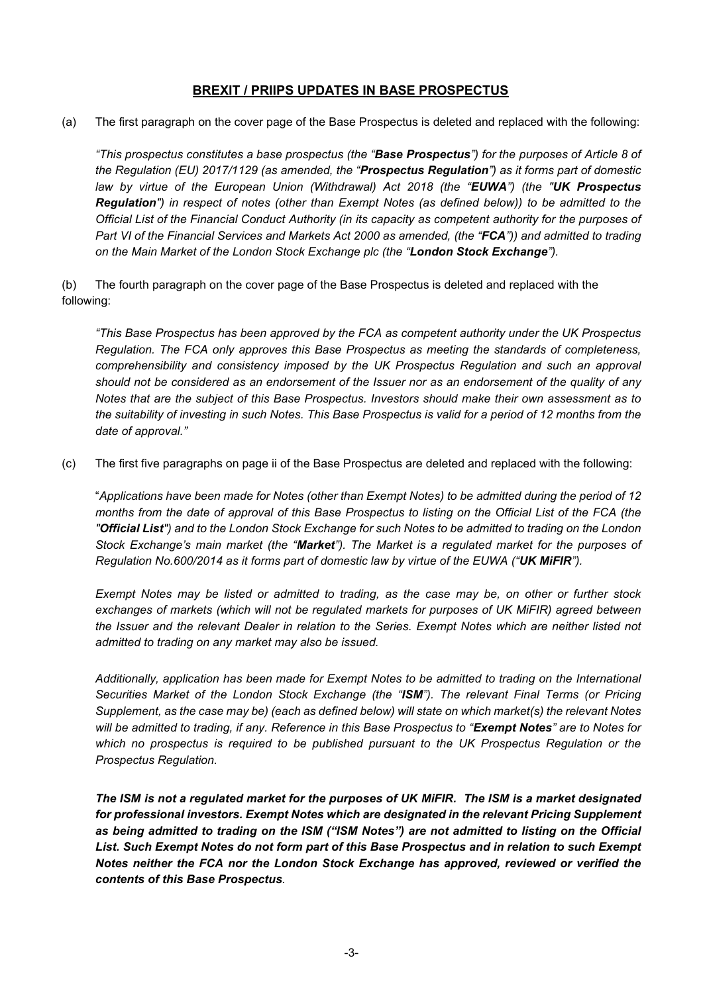# **BREXIT / PRIIPS UPDATES IN BASE PROSPECTUS**

(a) The first paragraph on the cover page of the Base Prospectus is deleted and replaced with the following:

*"This prospectus constitutes a base prospectus (the "Base Prospectus") for the purposes of Article 8 of the Regulation (EU) 2017/1129 (as amended, the "Prospectus Regulation") as it forms part of domestic law by virtue of the European Union (Withdrawal) Act 2018 (the "EUWA") (the "UK Prospectus Regulation") in respect of notes (other than Exempt Notes (as defined below)) to be admitted to the Official List of the Financial Conduct Authority (in its capacity as competent authority for the purposes of Part VI of the Financial Services and Markets Act 2000 as amended, (the "FCA")) and admitted to trading on the Main Market of the London Stock Exchange plc (the "London Stock Exchange").* 

(b) The fourth paragraph on the cover page of the Base Prospectus is deleted and replaced with the following:

*"This Base Prospectus has been approved by the FCA as competent authority under the UK Prospectus Regulation. The FCA only approves this Base Prospectus as meeting the standards of completeness, comprehensibility and consistency imposed by the UK Prospectus Regulation and such an approval should not be considered as an endorsement of the Issuer nor as an endorsement of the quality of any Notes that are the subject of this Base Prospectus. Investors should make their own assessment as to the suitability of investing in such Notes. This Base Prospectus is valid for a period of 12 months from the date of approval."*

(c) The first five paragraphs on page ii of the Base Prospectus are deleted and replaced with the following:

"*Applications have been made for Notes (other than Exempt Notes) to be admitted during the period of 12 months from the date of approval of this Base Prospectus to listing on the Official List of the FCA (the "Official List") and to the London Stock Exchange for such Notes to be admitted to trading on the London Stock Exchange's main market (the "Market"). The Market is a regulated market for the purposes of Regulation No.600/2014 as it forms part of domestic law by virtue of the EUWA ("UK MiFIR").*

*Exempt Notes may be listed or admitted to trading, as the case may be, on other or further stock exchanges of markets (which will not be regulated markets for purposes of UK MiFIR) agreed between the Issuer and the relevant Dealer in relation to the Series. Exempt Notes which are neither listed not admitted to trading on any market may also be issued.* 

*Additionally, application has been made for Exempt Notes to be admitted to trading on the International Securities Market of the London Stock Exchange (the "ISM"). The relevant Final Terms (or Pricing Supplement, as the case may be) (each as defined below) will state on which market(s) the relevant Notes will be admitted to trading, if any. Reference in this Base Prospectus to "Exempt Notes" are to Notes for which no prospectus is required to be published pursuant to the UK Prospectus Regulation or the Prospectus Regulation.*

*The ISM is not a regulated market for the purposes of UK MiFIR. The ISM is a market designated for professional investors. Exempt Notes which are designated in the relevant Pricing Supplement as being admitted to trading on the ISM ("ISM Notes") are not admitted to listing on the Official List. Such Exempt Notes do not form part of this Base Prospectus and in relation to such Exempt Notes neither the FCA nor the London Stock Exchange has approved, reviewed or verified the contents of this Base Prospectus.*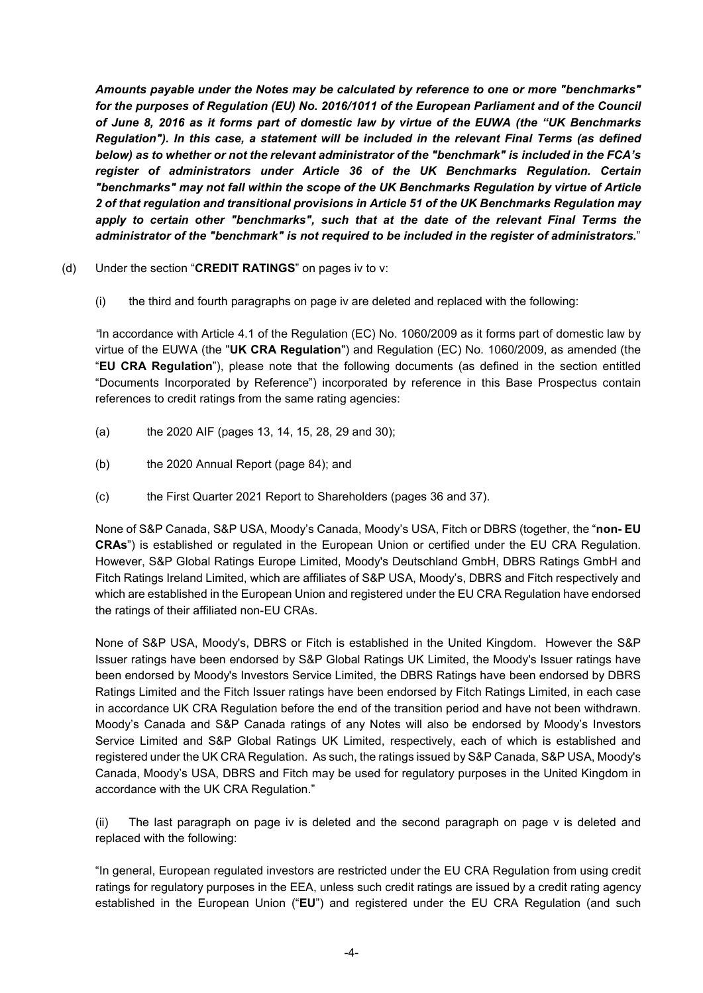*Amounts payable under the Notes may be calculated by reference to one or more "benchmarks" for the purposes of Regulation (EU) No. 2016/1011 of the European Parliament and of the Council of June 8, 2016 as it forms part of domestic law by virtue of the EUWA (the "UK Benchmarks Regulation"). In this case, a statement will be included in the relevant Final Terms (as defined below) as to whether or not the relevant administrator of the "benchmark" is included in the FCA's register of administrators under Article 36 of the UK Benchmarks Regulation. Certain "benchmarks" may not fall within the scope of the UK Benchmarks Regulation by virtue of Article 2 of that regulation and transitional provisions in Article 51 of the UK Benchmarks Regulation may*  apply to certain other "benchmarks", such that at the date of the relevant Final Terms the *administrator of the "benchmark" is not required to be included in the register of administrators.*"

- (d) Under the section "**CREDIT RATINGS**" on pages iv to v:
	- (i) the third and fourth paragraphs on page iv are deleted and replaced with the following:

*"*In accordance with Article 4.1 of the Regulation (EC) No. 1060/2009 as it forms part of domestic law by virtue of the EUWA (the "**UK CRA Regulation**") and Regulation (EC) No. 1060/2009, as amended (the "**EU CRA Regulation**"), please note that the following documents (as defined in the section entitled "Documents Incorporated by Reference") incorporated by reference in this Base Prospectus contain references to credit ratings from the same rating agencies:

- (a) the 2020 AIF (pages 13, 14, 15, 28, 29 and 30);
- (b) the 2020 Annual Report (page 84); and
- (c) the First Quarter 2021 Report to Shareholders (pages 36 and 37).

None of S&P Canada, S&P USA, Moody's Canada, Moody's USA, Fitch or DBRS (together, the "**non- EU CRAs**") is established or regulated in the European Union or certified under the EU CRA Regulation. However, S&P Global Ratings Europe Limited, Moody's Deutschland GmbH, DBRS Ratings GmbH and Fitch Ratings Ireland Limited, which are affiliates of S&P USA, Moody's, DBRS and Fitch respectively and which are established in the European Union and registered under the EU CRA Regulation have endorsed the ratings of their affiliated non-EU CRAs.

None of S&P USA, Moody's, DBRS or Fitch is established in the United Kingdom. However the S&P Issuer ratings have been endorsed by S&P Global Ratings UK Limited, the Moody's Issuer ratings have been endorsed by Moody's Investors Service Limited, the DBRS Ratings have been endorsed by DBRS Ratings Limited and the Fitch Issuer ratings have been endorsed by Fitch Ratings Limited, in each case in accordance UK CRA Regulation before the end of the transition period and have not been withdrawn. Moody's Canada and S&P Canada ratings of any Notes will also be endorsed by Moody's Investors Service Limited and S&P Global Ratings UK Limited, respectively, each of which is established and registered under the UK CRA Regulation.As such, the ratings issued by S&P Canada, S&P USA, Moody's Canada, Moody's USA, DBRS and Fitch may be used for regulatory purposes in the United Kingdom in accordance with the UK CRA Regulation."

(ii) The last paragraph on page iv is deleted and the second paragraph on page v is deleted and replaced with the following:

"In general, European regulated investors are restricted under the EU CRA Regulation from using credit ratings for regulatory purposes in the EEA, unless such credit ratings are issued by a credit rating agency established in the European Union ("**EU**") and registered under the EU CRA Regulation (and such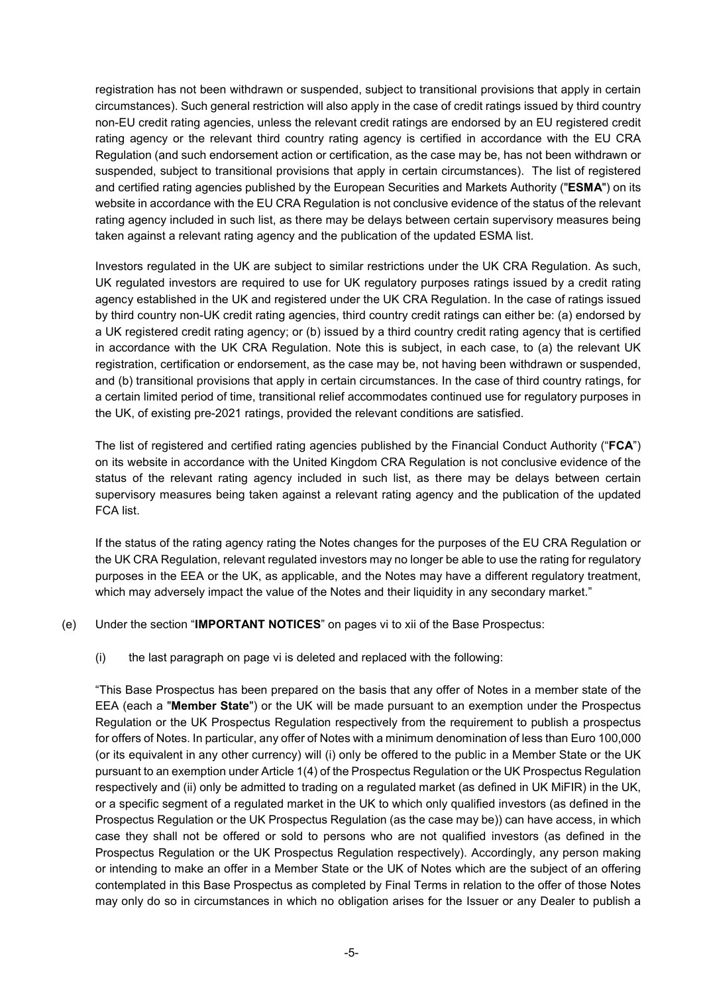registration has not been withdrawn or suspended, subject to transitional provisions that apply in certain circumstances). Such general restriction will also apply in the case of credit ratings issued by third country non-EU credit rating agencies, unless the relevant credit ratings are endorsed by an EU registered credit rating agency or the relevant third country rating agency is certified in accordance with the EU CRA Regulation (and such endorsement action or certification, as the case may be, has not been withdrawn or suspended, subject to transitional provisions that apply in certain circumstances). The list of registered and certified rating agencies published by the European Securities and Markets Authority ("**ESMA**") on its website in accordance with the EU CRA Regulation is not conclusive evidence of the status of the relevant rating agency included in such list, as there may be delays between certain supervisory measures being taken against a relevant rating agency and the publication of the updated ESMA list.

Investors regulated in the UK are subject to similar restrictions under the UK CRA Regulation. As such, UK regulated investors are required to use for UK regulatory purposes ratings issued by a credit rating agency established in the UK and registered under the UK CRA Regulation. In the case of ratings issued by third country non-UK credit rating agencies, third country credit ratings can either be: (a) endorsed by a UK registered credit rating agency; or (b) issued by a third country credit rating agency that is certified in accordance with the UK CRA Regulation. Note this is subject, in each case, to (a) the relevant UK registration, certification or endorsement, as the case may be, not having been withdrawn or suspended, and (b) transitional provisions that apply in certain circumstances. In the case of third country ratings, for a certain limited period of time, transitional relief accommodates continued use for regulatory purposes in the UK, of existing pre-2021 ratings, provided the relevant conditions are satisfied.

The list of registered and certified rating agencies published by the Financial Conduct Authority ("**FCA**") on its website in accordance with the United Kingdom CRA Regulation is not conclusive evidence of the status of the relevant rating agency included in such list, as there may be delays between certain supervisory measures being taken against a relevant rating agency and the publication of the updated FCA list.

If the status of the rating agency rating the Notes changes for the purposes of the EU CRA Regulation or the UK CRA Regulation, relevant regulated investors may no longer be able to use the rating for regulatory purposes in the EEA or the UK, as applicable, and the Notes may have a different regulatory treatment, which may adversely impact the value of the Notes and their liquidity in any secondary market."

- (e) Under the section "**IMPORTANT NOTICES**" on pages vi to xii of the Base Prospectus:
	- (i) the last paragraph on page vi is deleted and replaced with the following:

"This Base Prospectus has been prepared on the basis that any offer of Notes in a member state of the EEA (each a "**Member State**") or the UK will be made pursuant to an exemption under the Prospectus Regulation or the UK Prospectus Regulation respectively from the requirement to publish a prospectus for offers of Notes. In particular, any offer of Notes with a minimum denomination of less than Euro 100,000 (or its equivalent in any other currency) will (i) only be offered to the public in a Member State or the UK pursuant to an exemption under Article 1(4) of the Prospectus Regulation or the UK Prospectus Regulation respectively and (ii) only be admitted to trading on a regulated market (as defined in UK MiFIR) in the UK, or a specific segment of a regulated market in the UK to which only qualified investors (as defined in the Prospectus Regulation or the UK Prospectus Regulation (as the case may be)) can have access, in which case they shall not be offered or sold to persons who are not qualified investors (as defined in the Prospectus Regulation or the UK Prospectus Regulation respectively). Accordingly, any person making or intending to make an offer in a Member State or the UK of Notes which are the subject of an offering contemplated in this Base Prospectus as completed by Final Terms in relation to the offer of those Notes may only do so in circumstances in which no obligation arises for the Issuer or any Dealer to publish a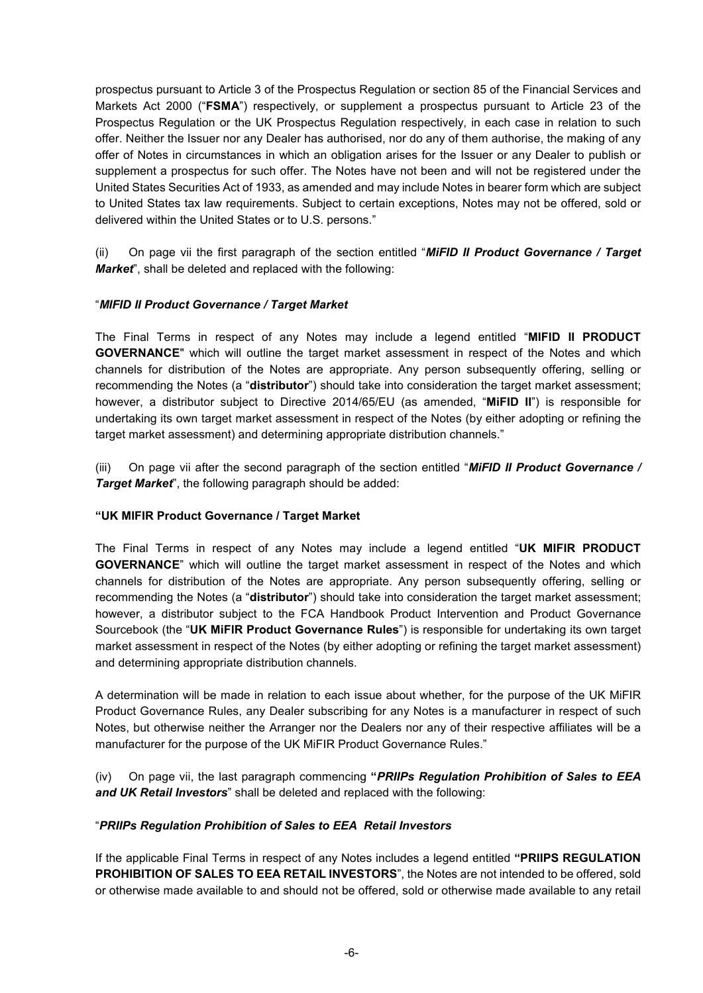prospectus pursuant to Article 3 of the Prospectus Regulation or section 85 of the Financial Services and Markets Act 2000 ("**FSMA**") respectively, or supplement a prospectus pursuant to Article 23 of the Prospectus Regulation or the UK Prospectus Regulation respectively, in each case in relation to such offer. Neither the Issuer nor any Dealer has authorised, nor do any of them authorise, the making of any offer of Notes in circumstances in which an obligation arises for the Issuer or any Dealer to publish or supplement a prospectus for such offer. The Notes have not been and will not be registered under the United States Securities Act of 1933, as amended and may include Notes in bearer form which are subject to United States tax law requirements. Subject to certain exceptions, Notes may not be offered, sold or delivered within the United States or to U.S. persons."

(ii) On page vii the first paragraph of the section entitled "*MiFID II Product Governance / Target Market*", shall be deleted and replaced with the following:

# "*MIFID II Product Governance / Target Market*

The Final Terms in respect of any Notes may include a legend entitled "**MIFID II PRODUCT GOVERNANCE**" which will outline the target market assessment in respect of the Notes and which channels for distribution of the Notes are appropriate. Any person subsequently offering, selling or recommending the Notes (a "**distributor**") should take into consideration the target market assessment; however, a distributor subject to Directive 2014/65/EU (as amended, "**MiFID II**") is responsible for undertaking its own target market assessment in respect of the Notes (by either adopting or refining the target market assessment) and determining appropriate distribution channels."

(iii) On page vii after the second paragraph of the section entitled "*MiFID II Product Governance / Target Market*", the following paragraph should be added:

#### **"UK MIFIR Product Governance / Target Market**

The Final Terms in respect of any Notes may include a legend entitled "**UK MIFIR PRODUCT GOVERNANCE**" which will outline the target market assessment in respect of the Notes and which channels for distribution of the Notes are appropriate. Any person subsequently offering, selling or recommending the Notes (a "**distributor**") should take into consideration the target market assessment; however, a distributor subject to the FCA Handbook Product Intervention and Product Governance Sourcebook (the "**UK MiFIR Product Governance Rules**") is responsible for undertaking its own target market assessment in respect of the Notes (by either adopting or refining the target market assessment) and determining appropriate distribution channels.

A determination will be made in relation to each issue about whether, for the purpose of the UK MiFIR Product Governance Rules, any Dealer subscribing for any Notes is a manufacturer in respect of such Notes, but otherwise neither the Arranger nor the Dealers nor any of their respective affiliates will be a manufacturer for the purpose of the UK MiFIR Product Governance Rules."

(iv) On page vii, the last paragraph commencing **"***PRIIPs Regulation Prohibition of Sales to EEA and UK Retail Investors*" shall be deleted and replaced with the following:

#### "*PRIIPs Regulation Prohibition of Sales to EEA Retail Investors*

If the applicable Final Terms in respect of any Notes includes a legend entitled **"PRIIPS REGULATION PROHIBITION OF SALES TO EEA RETAIL INVESTORS**", the Notes are not intended to be offered, sold or otherwise made available to and should not be offered, sold or otherwise made available to any retail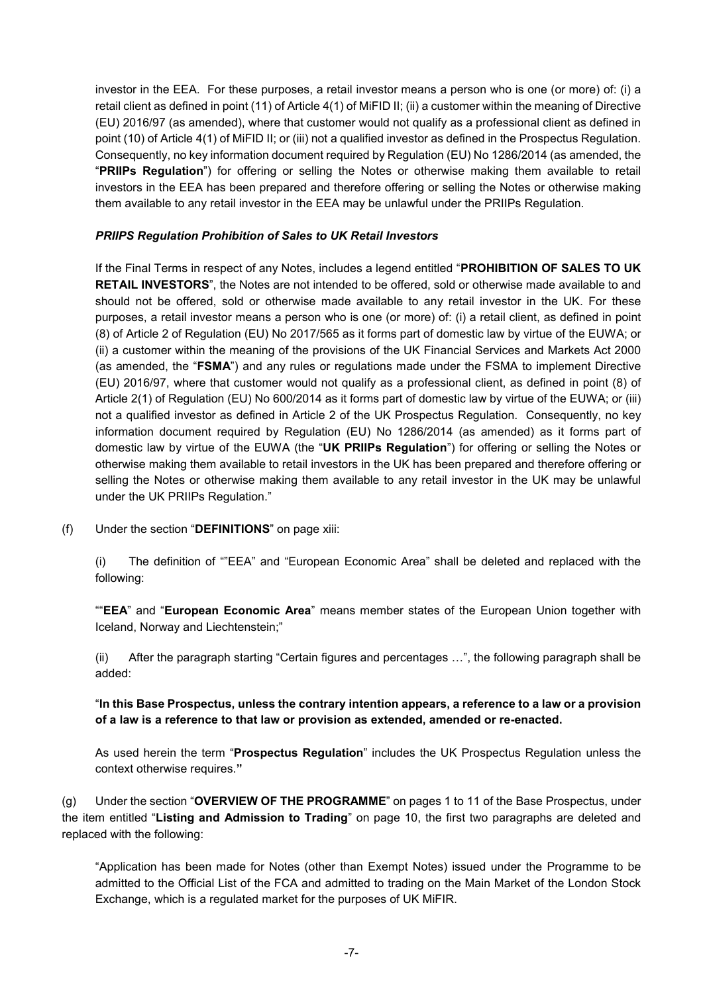investor in the EEA. For these purposes, a retail investor means a person who is one (or more) of: (i) a retail client as defined in point (11) of Article 4(1) of MiFID II; (ii) a customer within the meaning of Directive (EU) 2016/97 (as amended), where that customer would not qualify as a professional client as defined in point (10) of Article 4(1) of MiFID II; or (iii) not a qualified investor as defined in the Prospectus Regulation. Consequently, no key information document required by Regulation (EU) No 1286/2014 (as amended, the "**PRIIPs Regulation**") for offering or selling the Notes or otherwise making them available to retail investors in the EEA has been prepared and therefore offering or selling the Notes or otherwise making them available to any retail investor in the EEA may be unlawful under the PRIIPs Regulation.

#### *PRIIPS Regulation Prohibition of Sales to UK Retail Investors*

If the Final Terms in respect of any Notes, includes a legend entitled "**PROHIBITION OF SALES TO UK RETAIL INVESTORS**", the Notes are not intended to be offered, sold or otherwise made available to and should not be offered, sold or otherwise made available to any retail investor in the UK. For these purposes, a retail investor means a person who is one (or more) of: (i) a retail client, as defined in point (8) of Article 2 of Regulation (EU) No 2017/565 as it forms part of domestic law by virtue of the EUWA; or (ii) a customer within the meaning of the provisions of the UK Financial Services and Markets Act 2000 (as amended, the "**FSMA**") and any rules or regulations made under the FSMA to implement Directive (EU) 2016/97, where that customer would not qualify as a professional client, as defined in point (8) of Article 2(1) of Regulation (EU) No 600/2014 as it forms part of domestic law by virtue of the EUWA; or (iii) not a qualified investor as defined in Article 2 of the UK Prospectus Regulation. Consequently, no key information document required by Regulation (EU) No 1286/2014 (as amended) as it forms part of domestic law by virtue of the EUWA (the "**UK PRIIPs Regulation**") for offering or selling the Notes or otherwise making them available to retail investors in the UK has been prepared and therefore offering or selling the Notes or otherwise making them available to any retail investor in the UK may be unlawful under the UK PRIIPs Regulation."

(f) Under the section "**DEFINITIONS**" on page xiii:

(i) The definition of ""EEA" and "European Economic Area" shall be deleted and replaced with the following:

""**EEA**" and "**European Economic Area**" means member states of the European Union together with Iceland, Norway and Liechtenstein;"

(ii) After the paragraph starting "Certain figures and percentages …", the following paragraph shall be added:

# "**In this Base Prospectus, unless the contrary intention appears, a reference to a law or a provision of a law is a reference to that law or provision as extended, amended or re-enacted.**

As used herein the term "**Prospectus Regulation**" includes the UK Prospectus Regulation unless the context otherwise requires.**"**

(g) Under the section "**OVERVIEW OF THE PROGRAMME**" on pages 1 to 11 of the Base Prospectus, under the item entitled "**Listing and Admission to Trading**" on page 10, the first two paragraphs are deleted and replaced with the following:

"Application has been made for Notes (other than Exempt Notes) issued under the Programme to be admitted to the Official List of the FCA and admitted to trading on the Main Market of the London Stock Exchange, which is a regulated market for the purposes of UK MiFIR.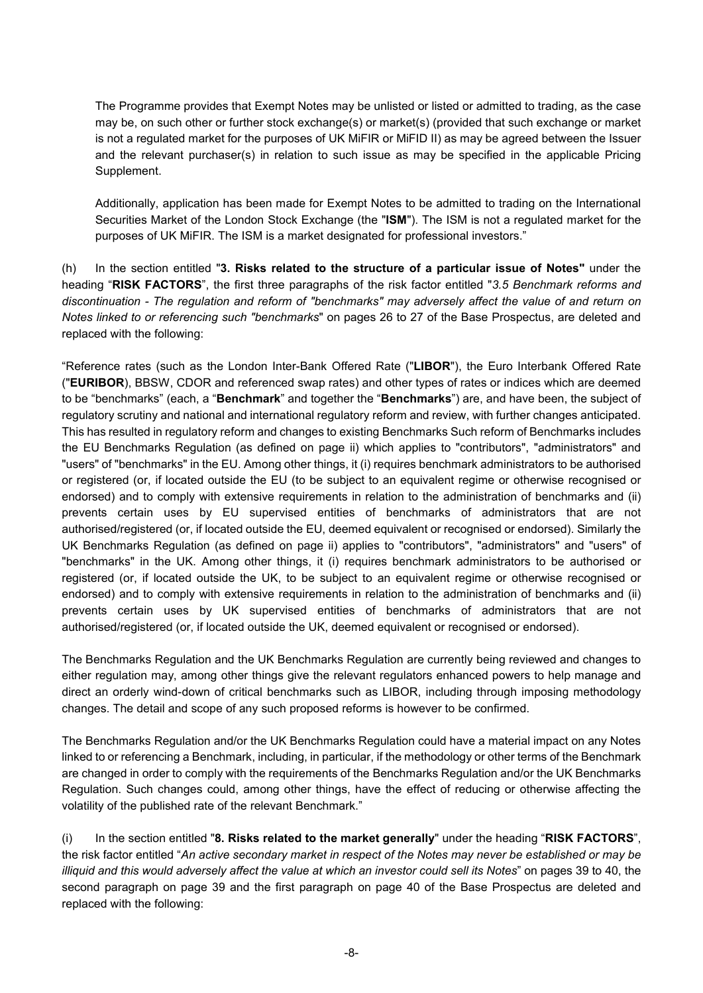The Programme provides that Exempt Notes may be unlisted or listed or admitted to trading, as the case may be, on such other or further stock exchange(s) or market(s) (provided that such exchange or market is not a regulated market for the purposes of UK MiFIR or MiFID II) as may be agreed between the Issuer and the relevant purchaser(s) in relation to such issue as may be specified in the applicable Pricing Supplement.

Additionally, application has been made for Exempt Notes to be admitted to trading on the International Securities Market of the London Stock Exchange (the "**ISM**"). The ISM is not a regulated market for the purposes of UK MiFIR. The ISM is a market designated for professional investors."

(h) In the section entitled "**3. Risks related to the structure of a particular issue of Notes"** under the heading "**RISK FACTORS**", the first three paragraphs of the risk factor entitled "*3.5 Benchmark reforms and discontinuation - The regulation and reform of "benchmarks" may adversely affect the value of and return on Notes linked to or referencing such "benchmarks*" on pages 26 to 27 of the Base Prospectus, are deleted and replaced with the following:

"Reference rates (such as the London Inter-Bank Offered Rate ("**LIBOR**"), the Euro Interbank Offered Rate ("**EURIBOR**), BBSW, CDOR and referenced swap rates) and other types of rates or indices which are deemed to be "benchmarks" (each, a "**Benchmark**" and together the "**Benchmarks**") are, and have been, the subject of regulatory scrutiny and national and international regulatory reform and review, with further changes anticipated. This has resulted in regulatory reform and changes to existing Benchmarks Such reform of Benchmarks includes the EU Benchmarks Regulation (as defined on page ii) which applies to "contributors", "administrators" and "users" of "benchmarks" in the EU. Among other things, it (i) requires benchmark administrators to be authorised or registered (or, if located outside the EU (to be subject to an equivalent regime or otherwise recognised or endorsed) and to comply with extensive requirements in relation to the administration of benchmarks and (ii) prevents certain uses by EU supervised entities of benchmarks of administrators that are not authorised/registered (or, if located outside the EU, deemed equivalent or recognised or endorsed). Similarly the UK Benchmarks Regulation (as defined on page ii) applies to "contributors", "administrators" and "users" of "benchmarks" in the UK. Among other things, it (i) requires benchmark administrators to be authorised or registered (or, if located outside the UK, to be subject to an equivalent regime or otherwise recognised or endorsed) and to comply with extensive requirements in relation to the administration of benchmarks and (ii) prevents certain uses by UK supervised entities of benchmarks of administrators that are not authorised/registered (or, if located outside the UK, deemed equivalent or recognised or endorsed).

The Benchmarks Regulation and the UK Benchmarks Regulation are currently being reviewed and changes to either regulation may, among other things give the relevant regulators enhanced powers to help manage and direct an orderly wind-down of critical benchmarks such as LIBOR, including through imposing methodology changes. The detail and scope of any such proposed reforms is however to be confirmed.

The Benchmarks Regulation and/or the UK Benchmarks Regulation could have a material impact on any Notes linked to or referencing a Benchmark, including, in particular, if the methodology or other terms of the Benchmark are changed in order to comply with the requirements of the Benchmarks Regulation and/or the UK Benchmarks Regulation. Such changes could, among other things, have the effect of reducing or otherwise affecting the volatility of the published rate of the relevant Benchmark."

(i) In the section entitled "**8. Risks related to the market generally**" under the heading "**RISK FACTORS**", the risk factor entitled "*An active secondary market in respect of the Notes may never be established or may be illiquid and this would adversely affect the value at which an investor could sell its Notes*" on pages 39 to 40, the second paragraph on page 39 and the first paragraph on page 40 of the Base Prospectus are deleted and replaced with the following: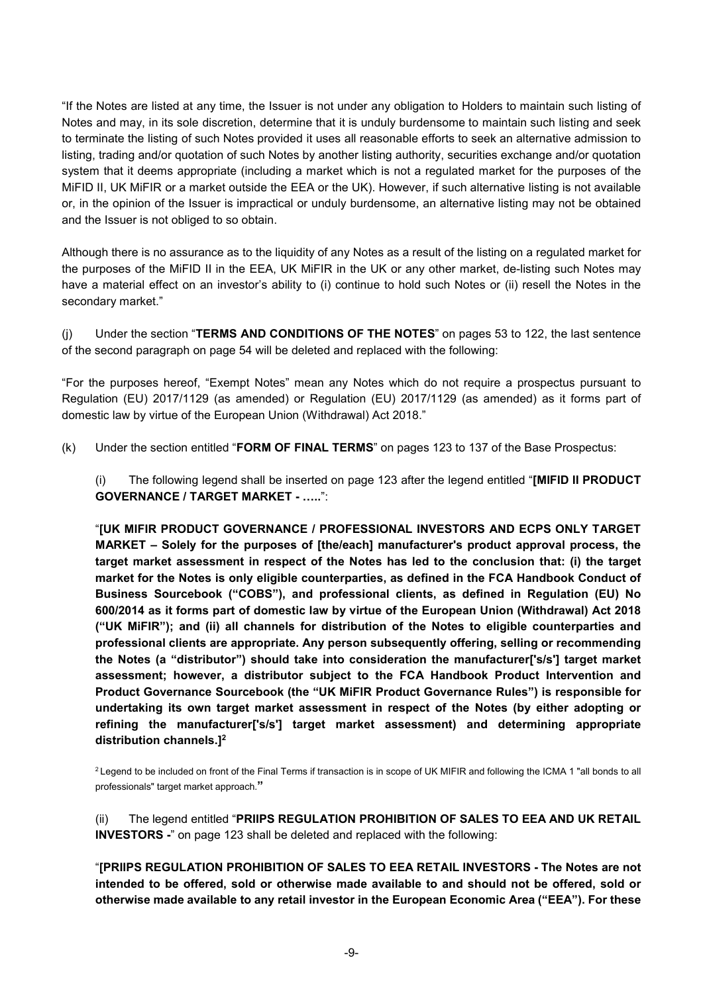"If the Notes are listed at any time, the Issuer is not under any obligation to Holders to maintain such listing of Notes and may, in its sole discretion, determine that it is unduly burdensome to maintain such listing and seek to terminate the listing of such Notes provided it uses all reasonable efforts to seek an alternative admission to listing, trading and/or quotation of such Notes by another listing authority, securities exchange and/or quotation system that it deems appropriate (including a market which is not a regulated market for the purposes of the MiFID II, UK MiFIR or a market outside the EEA or the UK). However, if such alternative listing is not available or, in the opinion of the Issuer is impractical or unduly burdensome, an alternative listing may not be obtained and the Issuer is not obliged to so obtain.

Although there is no assurance as to the liquidity of any Notes as a result of the listing on a regulated market for the purposes of the MiFID II in the EEA, UK MiFIR in the UK or any other market, de-listing such Notes may have a material effect on an investor's ability to (i) continue to hold such Notes or (ii) resell the Notes in the secondary market."

(j) Under the section "**TERMS AND CONDITIONS OF THE NOTES**" on pages 53 to 122, the last sentence of the second paragraph on page 54 will be deleted and replaced with the following:

"For the purposes hereof, "Exempt Notes" mean any Notes which do not require a prospectus pursuant to Regulation (EU) 2017/1129 (as amended) or Regulation (EU) 2017/1129 (as amended) as it forms part of domestic law by virtue of the European Union (Withdrawal) Act 2018."

(k) Under the section entitled "**FORM OF FINAL TERMS**" on pages 123 to 137 of the Base Prospectus:

(i) The following legend shall be inserted on page 123 after the legend entitled "**[MIFID II PRODUCT GOVERNANCE / TARGET MARKET - …..**":

"**[UK MIFIR PRODUCT GOVERNANCE / PROFESSIONAL INVESTORS AND ECPS ONLY TARGET MARKET – Solely for the purposes of [the/each] manufacturer's product approval process, the target market assessment in respect of the Notes has led to the conclusion that: (i) the target market for the Notes is only eligible counterparties, as defined in the FCA Handbook Conduct of Business Sourcebook ("COBS"), and professional clients, as defined in Regulation (EU) No 600/2014 as it forms part of domestic law by virtue of the European Union (Withdrawal) Act 2018 ("UK MiFIR"); and (ii) all channels for distribution of the Notes to eligible counterparties and professional clients are appropriate. Any person subsequently offering, selling or recommending the Notes (a "distributor") should take into consideration the manufacturer['s/s'] target market assessment; however, a distributor subject to the FCA Handbook Product Intervention and Product Governance Sourcebook (the "UK MiFIR Product Governance Rules") is responsible for undertaking its own target market assessment in respect of the Notes (by either adopting or refining the manufacturer['s/s'] target market assessment) and determining appropriate distribution channels.]<sup>2</sup>**

<sup>2</sup> Legend to be included on front of the Final Terms if transaction is in scope of UK MIFIR and following the ICMA 1 "all bonds to all professionals" target market approach.**"**

(ii) The legend entitled "**PRIIPS REGULATION PROHIBITION OF SALES TO EEA AND UK RETAIL INVESTORS -**" on page 123 shall be deleted and replaced with the following:

"**[PRIIPS REGULATION PROHIBITION OF SALES TO EEA RETAIL INVESTORS - The Notes are not intended to be offered, sold or otherwise made available to and should not be offered, sold or otherwise made available to any retail investor in the European Economic Area ("EEA"). For these**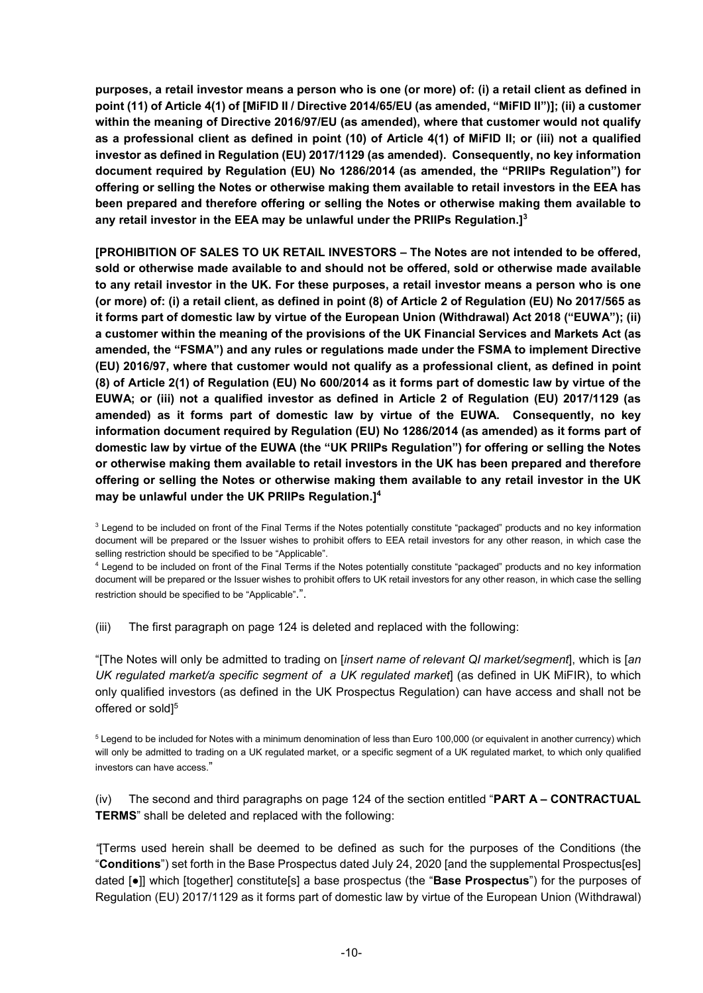**purposes, a retail investor means a person who is one (or more) of: (i) a retail client as defined in point (11) of Article 4(1) of [MiFID II / Directive 2014/65/EU (as amended, "MiFID II")]; (ii) a customer within the meaning of Directive 2016/97/EU (as amended), where that customer would not qualify as a professional client as defined in point (10) of Article 4(1) of MiFID II; or (iii) not a qualified investor as defined in Regulation (EU) 2017/1129 (as amended). Consequently, no key information document required by Regulation (EU) No 1286/2014 (as amended, the "PRIIPs Regulation") for offering or selling the Notes or otherwise making them available to retail investors in the EEA has been prepared and therefore offering or selling the Notes or otherwise making them available to any retail investor in the EEA may be unlawful under the PRIIPs Regulation.]<sup>3</sup>**

**[PROHIBITION OF SALES TO UK RETAIL INVESTORS – The Notes are not intended to be offered, sold or otherwise made available to and should not be offered, sold or otherwise made available to any retail investor in the UK. For these purposes, a retail investor means a person who is one (or more) of: (i) a retail client, as defined in point (8) of Article 2 of Regulation (EU) No 2017/565 as it forms part of domestic law by virtue of the European Union (Withdrawal) Act 2018 ("EUWA"); (ii) a customer within the meaning of the provisions of the UK Financial Services and Markets Act (as amended, the "FSMA") and any rules or regulations made under the FSMA to implement Directive (EU) 2016/97, where that customer would not qualify as a professional client, as defined in point (8) of Article 2(1) of Regulation (EU) No 600/2014 as it forms part of domestic law by virtue of the EUWA; or (iii) not a qualified investor as defined in Article 2 of Regulation (EU) 2017/1129 (as amended) as it forms part of domestic law by virtue of the EUWA. Consequently, no key information document required by Regulation (EU) No 1286/2014 (as amended) as it forms part of domestic law by virtue of the EUWA (the "UK PRIIPs Regulation") for offering or selling the Notes or otherwise making them available to retail investors in the UK has been prepared and therefore offering or selling the Notes or otherwise making them available to any retail investor in the UK may be unlawful under the UK PRIIPs Regulation.]<sup>4</sup>**

<sup>3</sup> Legend to be included on front of the Final Terms if the Notes potentially constitute "packaged" products and no key information document will be prepared or the Issuer wishes to prohibit offers to EEA retail investors for any other reason, in which case the selling restriction should be specified to be "Applicable".

<sup>4</sup> Legend to be included on front of the Final Terms if the Notes potentially constitute "packaged" products and no key information document will be prepared or the Issuer wishes to prohibit offers to UK retail investors for any other reason, in which case the selling restriction should be specified to be "Applicable".".

(iii) The first paragraph on page 124 is deleted and replaced with the following:

"[The Notes will only be admitted to trading on [*insert name of relevant QI market/segment*], which is [*an*  UK regulated market/a specific segment of a UK regulated market] (as defined in UK MiFIR), to which only qualified investors (as defined in the UK Prospectus Regulation) can have access and shall not be offered or sold]<sup>5</sup>

<sup>5</sup> Legend to be included for Notes with a minimum denomination of less than Euro 100,000 (or equivalent in another currency) which will only be admitted to trading on a UK regulated market, or a specific segment of a UK regulated market, to which only qualified investors can have access."

(iv) The second and third paragraphs on page 124 of the section entitled "**PART A – CONTRACTUAL TERMS**" shall be deleted and replaced with the following:

*"*[Terms used herein shall be deemed to be defined as such for the purposes of the Conditions (the "**Conditions**") set forth in the Base Prospectus dated July 24, 2020 [and the supplemental Prospectus[es] dated [●]] which [together] constitute[s] a base prospectus (the "**Base Prospectus**") for the purposes of Regulation (EU) 2017/1129 as it forms part of domestic law by virtue of the European Union (Withdrawal)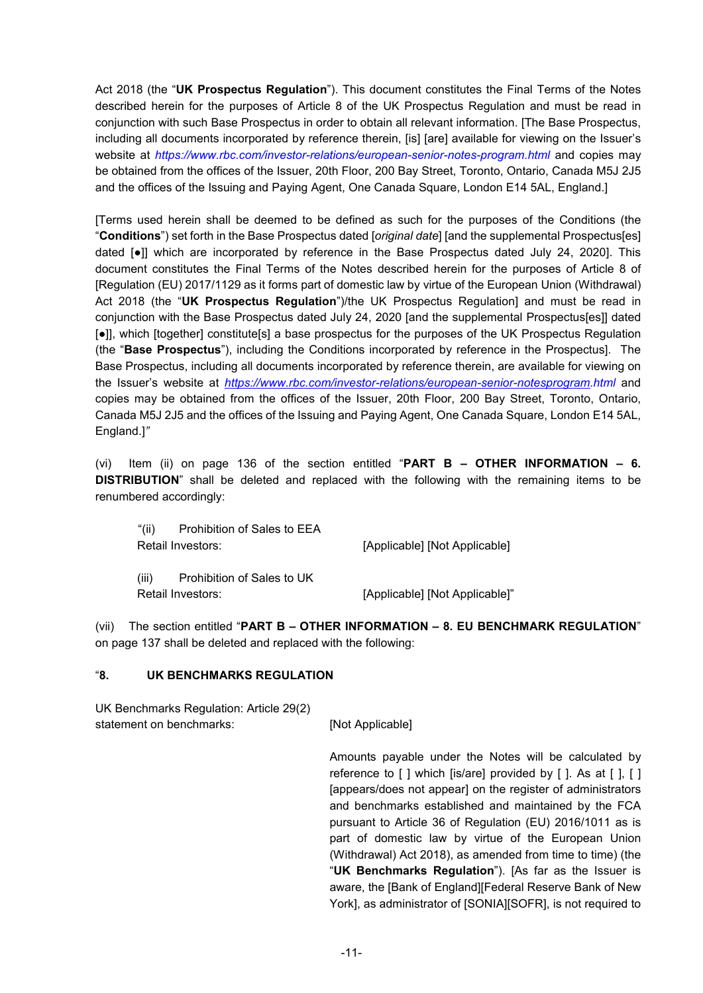Act 2018 (the "**UK Prospectus Regulation**"). This document constitutes the Final Terms of the Notes described herein for the purposes of Article 8 of the UK Prospectus Regulation and must be read in conjunction with such Base Prospectus in order to obtain all relevant information. [The Base Prospectus, including all documents incorporated by reference therein, [is] [are] available for viewing on the Issuer's website at *https://www.rbc.com/investor-relations/european-senior-notes-program.html* and copies may be obtained from the offices of the Issuer, 20th Floor, 200 Bay Street, Toronto, Ontario, Canada M5J 2J5 and the offices of the Issuing and Paying Agent, One Canada Square, London E14 5AL, England.]

[Terms used herein shall be deemed to be defined as such for the purposes of the Conditions (the "**Conditions**") set forth in the Base Prospectus dated [*original date*] [and the supplemental Prospectus[es] dated [●]] which are incorporated by reference in the Base Prospectus dated July 24, 2020]. This document constitutes the Final Terms of the Notes described herein for the purposes of Article 8 of [Regulation (EU) 2017/1129 as it forms part of domestic law by virtue of the European Union (Withdrawal) Act 2018 (the "**UK Prospectus Regulation**")/the UK Prospectus Regulation] and must be read in conjunction with the Base Prospectus dated July 24, 2020 [and the supplemental Prospectus[es]] dated [●]], which [together] constitute[s] a base prospectus for the purposes of the UK Prospectus Regulation (the "**Base Prospectus**"), including the Conditions incorporated by reference in the Prospectus]. The Base Prospectus, including all documents incorporated by reference therein, are available for viewing on the Issuer's website at *https://www.rbc.com/investor-relations/european-senior-notesprogram.html* and copies may be obtained from the offices of the Issuer, 20th Floor, 200 Bay Street, Toronto, Ontario, Canada M5J 2J5 and the offices of the Issuing and Paying Agent, One Canada Square, London E14 5AL, England.]*"*

(vi) Item (ii) on page 136 of the section entitled "**PART B – OTHER INFORMATION – 6. DISTRIBUTION**" shall be deleted and replaced with the following with the remaining items to be renumbered accordingly:

| "(ii)"<br>Prohibition of Sales to EEA |                                |
|---------------------------------------|--------------------------------|
| Retail Investors:                     | [Applicable] [Not Applicable]  |
| (iii)<br>Prohibition of Sales to UK   |                                |
| Retail Investors:                     | [Applicable] [Not Applicable]" |

(vii) The section entitled "**PART B – OTHER INFORMATION – 8. EU BENCHMARK REGULATION**" on page 137 shall be deleted and replaced with the following:

#### "**8. UK BENCHMARKS REGULATION**

UK Benchmarks Regulation: Article 29(2) statement on benchmarks: [Not Applicable]

> Amounts payable under the Notes will be calculated by reference to  $\lceil \cdot \rceil$  which  $\lceil \cdot \rceil$  are  $\lceil \cdot \rceil$  brovided by  $\lceil \cdot \rceil$ . As at  $\lceil \cdot \rceil$ ,  $\lceil \cdot \rceil$ [appears/does not appear] on the register of administrators and benchmarks established and maintained by the FCA pursuant to Article 36 of Regulation (EU) 2016/1011 as is part of domestic law by virtue of the European Union (Withdrawal) Act 2018), as amended from time to time) (the "**UK Benchmarks Regulation**"). [As far as the Issuer is aware, the [Bank of England][Federal Reserve Bank of New York], as administrator of [SONIA][SOFR], is not required to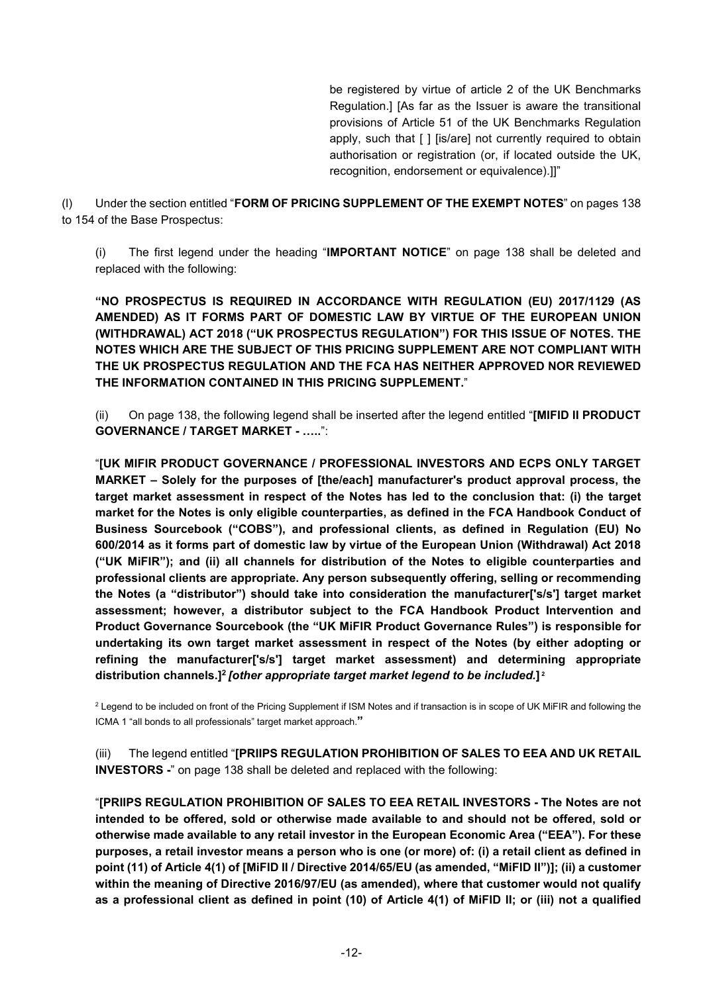be registered by virtue of article 2 of the UK Benchmarks Regulation.] [As far as the Issuer is aware the transitional provisions of Article 51 of the UK Benchmarks Regulation apply, such that [ ] [is/are] not currently required to obtain authorisation or registration (or, if located outside the UK, recognition, endorsement or equivalence).]]"

(l) Under the section entitled "**FORM OF PRICING SUPPLEMENT OF THE EXEMPT NOTES**" on pages 138 to 154 of the Base Prospectus:

(i) The first legend under the heading "**IMPORTANT NOTICE**" on page 138 shall be deleted and replaced with the following:

**"NO PROSPECTUS IS REQUIRED IN ACCORDANCE WITH REGULATION (EU) 2017/1129 (AS AMENDED) AS IT FORMS PART OF DOMESTIC LAW BY VIRTUE OF THE EUROPEAN UNION (WITHDRAWAL) ACT 2018 ("UK PROSPECTUS REGULATION") FOR THIS ISSUE OF NOTES. THE NOTES WHICH ARE THE SUBJECT OF THIS PRICING SUPPLEMENT ARE NOT COMPLIANT WITH THE UK PROSPECTUS REGULATION AND THE FCA HAS NEITHER APPROVED NOR REVIEWED THE INFORMATION CONTAINED IN THIS PRICING SUPPLEMENT.**"

(ii) On page 138, the following legend shall be inserted after the legend entitled "**[MIFID II PRODUCT GOVERNANCE / TARGET MARKET - …..**":

"**[UK MIFIR PRODUCT GOVERNANCE / PROFESSIONAL INVESTORS AND ECPS ONLY TARGET MARKET – Solely for the purposes of [the/each] manufacturer's product approval process, the target market assessment in respect of the Notes has led to the conclusion that: (i) the target market for the Notes is only eligible counterparties, as defined in the FCA Handbook Conduct of Business Sourcebook ("COBS"), and professional clients, as defined in Regulation (EU) No 600/2014 as it forms part of domestic law by virtue of the European Union (Withdrawal) Act 2018 ("UK MiFIR"); and (ii) all channels for distribution of the Notes to eligible counterparties and professional clients are appropriate. Any person subsequently offering, selling or recommending the Notes (a "distributor") should take into consideration the manufacturer['s/s'] target market assessment; however, a distributor subject to the FCA Handbook Product Intervention and Product Governance Sourcebook (the "UK MiFIR Product Governance Rules") is responsible for undertaking its own target market assessment in respect of the Notes (by either adopting or refining the manufacturer['s/s'] target market assessment) and determining appropriate distribution channels.]<sup>2</sup>***[other appropriate target market legend to be included.***] 2**

<sup>2</sup> Legend to be included on front of the Pricing Supplement if ISM Notes and if transaction is in scope of UK MiFIR and following the ICMA 1 "all bonds to all professionals" target market approach.**"**

(iii) The legend entitled "**[PRIIPS REGULATION PROHIBITION OF SALES TO EEA AND UK RETAIL INVESTORS -**" on page 138 shall be deleted and replaced with the following:

"**[PRIIPS REGULATION PROHIBITION OF SALES TO EEA RETAIL INVESTORS - The Notes are not intended to be offered, sold or otherwise made available to and should not be offered, sold or otherwise made available to any retail investor in the European Economic Area ("EEA"). For these purposes, a retail investor means a person who is one (or more) of: (i) a retail client as defined in point (11) of Article 4(1) of [MiFID II / Directive 2014/65/EU (as amended, "MiFID II")]; (ii) a customer within the meaning of Directive 2016/97/EU (as amended), where that customer would not qualify as a professional client as defined in point (10) of Article 4(1) of MiFID II; or (iii) not a qualified**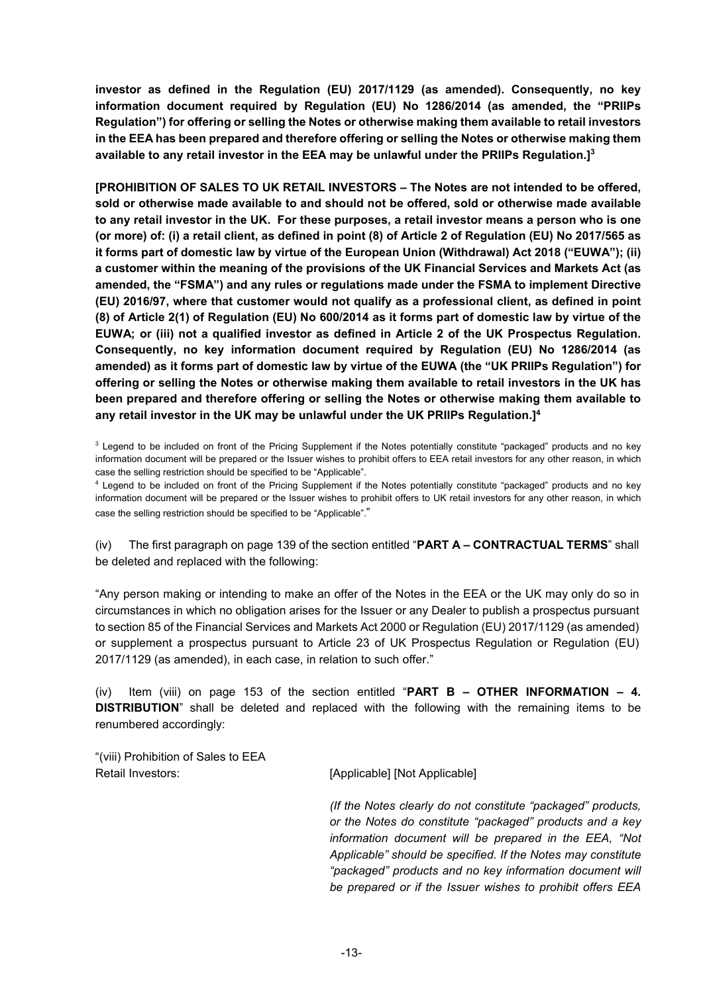**investor as defined in the Regulation (EU) 2017/1129 (as amended). Consequently, no key information document required by Regulation (EU) No 1286/2014 (as amended, the "PRIIPs Regulation") for offering or selling the Notes or otherwise making them available to retail investors in the EEA has been prepared and therefore offering or selling the Notes or otherwise making them available to any retail investor in the EEA may be unlawful under the PRIIPs Regulation.]<sup>3</sup>**

**[PROHIBITION OF SALES TO UK RETAIL INVESTORS – The Notes are not intended to be offered, sold or otherwise made available to and should not be offered, sold or otherwise made available to any retail investor in the UK. For these purposes, a retail investor means a person who is one (or more) of: (i) a retail client, as defined in point (8) of Article 2 of Regulation (EU) No 2017/565 as it forms part of domestic law by virtue of the European Union (Withdrawal) Act 2018 ("EUWA"); (ii) a customer within the meaning of the provisions of the UK Financial Services and Markets Act (as amended, the "FSMA") and any rules or regulations made under the FSMA to implement Directive (EU) 2016/97, where that customer would not qualify as a professional client, as defined in point (8) of Article 2(1) of Regulation (EU) No 600/2014 as it forms part of domestic law by virtue of the EUWA; or (iii) not a qualified investor as defined in Article 2 of the UK Prospectus Regulation. Consequently, no key information document required by Regulation (EU) No 1286/2014 (as amended) as it forms part of domestic law by virtue of the EUWA (the "UK PRIIPs Regulation") for offering or selling the Notes or otherwise making them available to retail investors in the UK has been prepared and therefore offering or selling the Notes or otherwise making them available to any retail investor in the UK may be unlawful under the UK PRIIPs Regulation.]<sup>4</sup>**

<sup>3</sup> Legend to be included on front of the Pricing Supplement if the Notes potentially constitute "packaged" products and no key information document will be prepared or the Issuer wishes to prohibit offers to EEA retail investors for any other reason, in which case the selling restriction should be specified to be "Applicable".

<sup>4</sup> Legend to be included on front of the Pricing Supplement if the Notes potentially constitute "packaged" products and no key information document will be prepared or the Issuer wishes to prohibit offers to UK retail investors for any other reason, in which case the selling restriction should be specified to be "Applicable"."

(iv) The first paragraph on page 139 of the section entitled "**PART A – CONTRACTUAL TERMS**" shall be deleted and replaced with the following:

"Any person making or intending to make an offer of the Notes in the EEA or the UK may only do so in circumstances in which no obligation arises for the Issuer or any Dealer to publish a prospectus pursuant to section 85 of the Financial Services and Markets Act 2000 or Regulation (EU) 2017/1129 (as amended) or supplement a prospectus pursuant to Article 23 of UK Prospectus Regulation or Regulation (EU) 2017/1129 (as amended), in each case, in relation to such offer."

(iv) Item (viii) on page 153 of the section entitled "**PART B – OTHER INFORMATION – 4. DISTRIBUTION**" shall be deleted and replaced with the following with the remaining items to be renumbered accordingly:

"(viii) Prohibition of Sales to EEA Retail Investors: [Applicable] [Not Applicable] [Not Applicable]

*(If the Notes clearly do not constitute "packaged" products, or the Notes do constitute "packaged" products and a key information document will be prepared in the EEA, "Not Applicable" should be specified. If the Notes may constitute "packaged" products and no key information document will be prepared or if the Issuer wishes to prohibit offers EEA*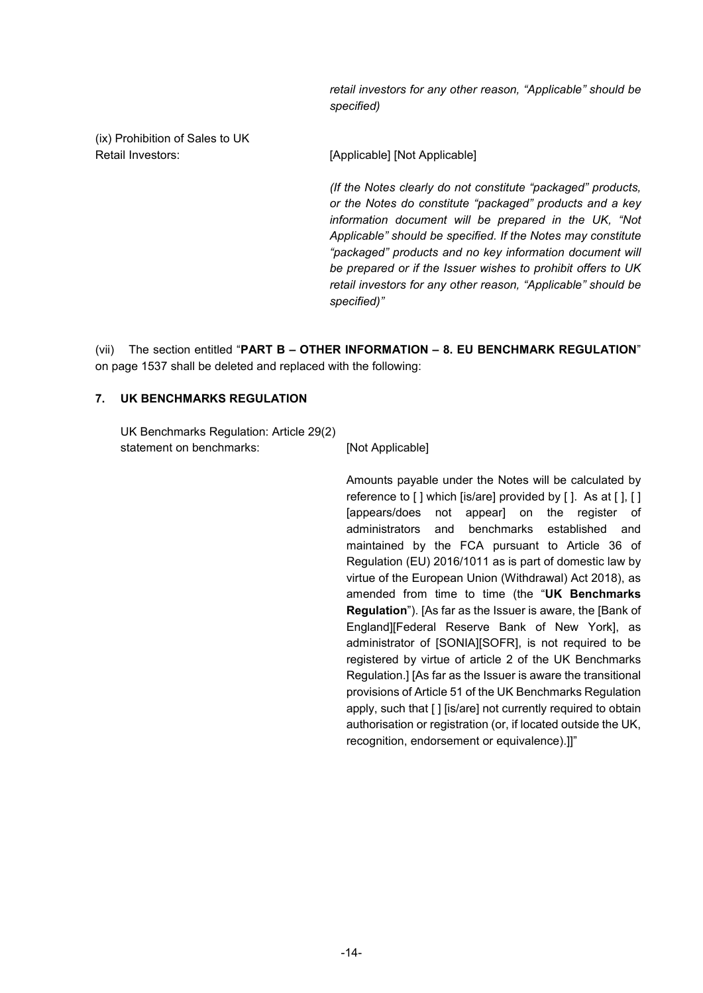*retail investors for any other reason, "Applicable" should be specified)*

(ix) Prohibition of Sales to UK Retail Investors: [Applicable] [Not Applicable]

*(If the Notes clearly do not constitute "packaged" products, or the Notes do constitute "packaged" products and a key information document will be prepared in the UK, "Not Applicable" should be specified. If the Notes may constitute "packaged" products and no key information document will be prepared or if the Issuer wishes to prohibit offers to UK retail investors for any other reason, "Applicable" should be specified)"*

(vii) The section entitled "**PART B – OTHER INFORMATION – 8. EU BENCHMARK REGULATION**" on page 1537 shall be deleted and replaced with the following:

#### **7. UK BENCHMARKS REGULATION**

UK Benchmarks Regulation: Article 29(2) statement on benchmarks: [Not Applicable]

Amounts payable under the Notes will be calculated by reference to [] which [is/are] provided by []. As at [], [] [appears/does not appear] on the register of administrators and benchmarks established and maintained by the FCA pursuant to Article 36 of Regulation (EU) 2016/1011 as is part of domestic law by virtue of the European Union (Withdrawal) Act 2018), as amended from time to time (the "**UK Benchmarks Regulation**"). [As far as the Issuer is aware, the [Bank of England][Federal Reserve Bank of New York], as administrator of [SONIA][SOFR], is not required to be registered by virtue of article 2 of the UK Benchmarks Regulation.] [As far as the Issuer is aware the transitional provisions of Article 51 of the UK Benchmarks Regulation apply, such that [ ] [is/are] not currently required to obtain authorisation or registration (or, if located outside the UK, recognition, endorsement or equivalence).]]"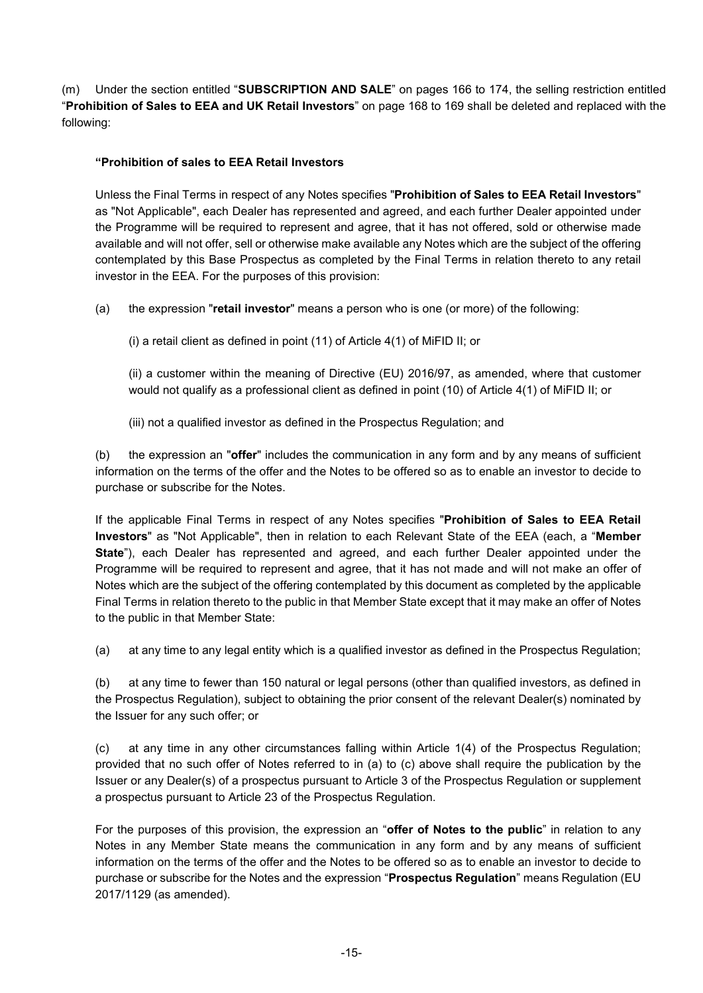(m) Under the section entitled "**SUBSCRIPTION AND SALE**" on pages 166 to 174, the selling restriction entitled "**Prohibition of Sales to EEA and UK Retail Investors**" on page 168 to 169 shall be deleted and replaced with the following:

# **"Prohibition of sales to EEA Retail Investors**

Unless the Final Terms in respect of any Notes specifies "**Prohibition of Sales to EEA Retail Investors**" as "Not Applicable", each Dealer has represented and agreed, and each further Dealer appointed under the Programme will be required to represent and agree, that it has not offered, sold or otherwise made available and will not offer, sell or otherwise make available any Notes which are the subject of the offering contemplated by this Base Prospectus as completed by the Final Terms in relation thereto to any retail investor in the EEA. For the purposes of this provision:

- (a) the expression "**retail investor**" means a person who is one (or more) of the following:
	- (i) a retail client as defined in point (11) of Article 4(1) of MiFID II; or

(ii) a customer within the meaning of Directive (EU) 2016/97, as amended, where that customer would not qualify as a professional client as defined in point (10) of Article 4(1) of MiFID II; or

(iii) not a qualified investor as defined in the Prospectus Regulation; and

(b) the expression an "**offer**" includes the communication in any form and by any means of sufficient information on the terms of the offer and the Notes to be offered so as to enable an investor to decide to purchase or subscribe for the Notes.

If the applicable Final Terms in respect of any Notes specifies "**Prohibition of Sales to EEA Retail Investors**" as "Not Applicable", then in relation to each Relevant State of the EEA (each, a "**Member State**"), each Dealer has represented and agreed, and each further Dealer appointed under the Programme will be required to represent and agree, that it has not made and will not make an offer of Notes which are the subject of the offering contemplated by this document as completed by the applicable Final Terms in relation thereto to the public in that Member State except that it may make an offer of Notes to the public in that Member State:

(a) at any time to any legal entity which is a qualified investor as defined in the Prospectus Regulation;

(b) at any time to fewer than 150 natural or legal persons (other than qualified investors, as defined in the Prospectus Regulation), subject to obtaining the prior consent of the relevant Dealer(s) nominated by the Issuer for any such offer; or

(c) at any time in any other circumstances falling within Article 1(4) of the Prospectus Regulation; provided that no such offer of Notes referred to in (a) to (c) above shall require the publication by the Issuer or any Dealer(s) of a prospectus pursuant to Article 3 of the Prospectus Regulation or supplement a prospectus pursuant to Article 23 of the Prospectus Regulation.

For the purposes of this provision, the expression an "**offer of Notes to the public**" in relation to any Notes in any Member State means the communication in any form and by any means of sufficient information on the terms of the offer and the Notes to be offered so as to enable an investor to decide to purchase or subscribe for the Notes and the expression "**Prospectus Regulation**" means Regulation (EU 2017/1129 (as amended).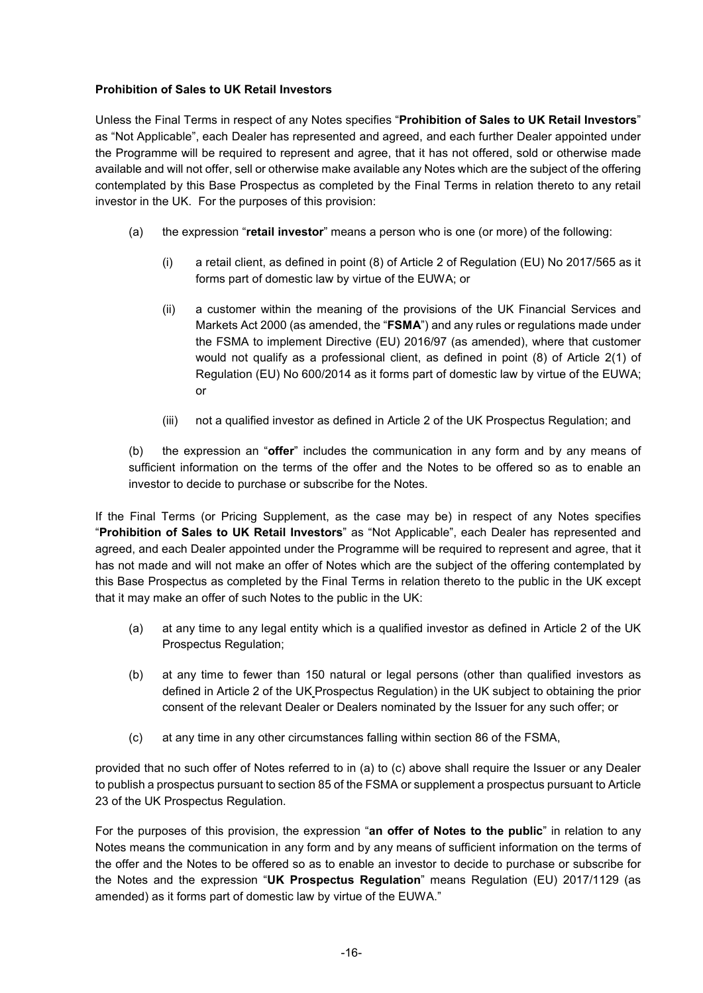# **Prohibition of Sales to UK Retail Investors**

Unless the Final Terms in respect of any Notes specifies "**Prohibition of Sales to UK Retail Investors**" as "Not Applicable", each Dealer has represented and agreed, and each further Dealer appointed under the Programme will be required to represent and agree, that it has not offered, sold or otherwise made available and will not offer, sell or otherwise make available any Notes which are the subject of the offering contemplated by this Base Prospectus as completed by the Final Terms in relation thereto to any retail investor in the UK. For the purposes of this provision:

- (a) the expression "**retail investor**" means a person who is one (or more) of the following:
	- (i) a retail client, as defined in point (8) of Article 2 of Regulation (EU) No 2017/565 as it forms part of domestic law by virtue of the EUWA; or
	- (ii) a customer within the meaning of the provisions of the UK Financial Services and Markets Act 2000 (as amended, the "**FSMA**") and any rules or regulations made under the FSMA to implement Directive (EU) 2016/97 (as amended), where that customer would not qualify as a professional client, as defined in point (8) of Article 2(1) of Regulation (EU) No 600/2014 as it forms part of domestic law by virtue of the EUWA; or
	- (iii) not a qualified investor as defined in Article 2 of the UK Prospectus Regulation; and

(b) the expression an "**offer**" includes the communication in any form and by any means of sufficient information on the terms of the offer and the Notes to be offered so as to enable an investor to decide to purchase or subscribe for the Notes.

If the Final Terms (or Pricing Supplement, as the case may be) in respect of any Notes specifies "**Prohibition of Sales to UK Retail Investors**" as "Not Applicable", each Dealer has represented and agreed, and each Dealer appointed under the Programme will be required to represent and agree, that it has not made and will not make an offer of Notes which are the subject of the offering contemplated by this Base Prospectus as completed by the Final Terms in relation thereto to the public in the UK except that it may make an offer of such Notes to the public in the UK:

- (a) at any time to any legal entity which is a qualified investor as defined in Article 2 of the UK Prospectus Regulation;
- (b) at any time to fewer than 150 natural or legal persons (other than qualified investors as defined in Article 2 of the UK Prospectus Regulation) in the UK subject to obtaining the prior consent of the relevant Dealer or Dealers nominated by the Issuer for any such offer; or
- (c) at any time in any other circumstances falling within section 86 of the FSMA,

provided that no such offer of Notes referred to in (a) to (c) above shall require the Issuer or any Dealer to publish a prospectus pursuant to section 85 of the FSMA or supplement a prospectus pursuant to Article 23 of the UK Prospectus Regulation.

For the purposes of this provision, the expression "**an offer of Notes to the public**" in relation to any Notes means the communication in any form and by any means of sufficient information on the terms of the offer and the Notes to be offered so as to enable an investor to decide to purchase or subscribe for the Notes and the expression "**UK Prospectus Regulation**" means Regulation (EU) 2017/1129 (as amended) as it forms part of domestic law by virtue of the EUWA."